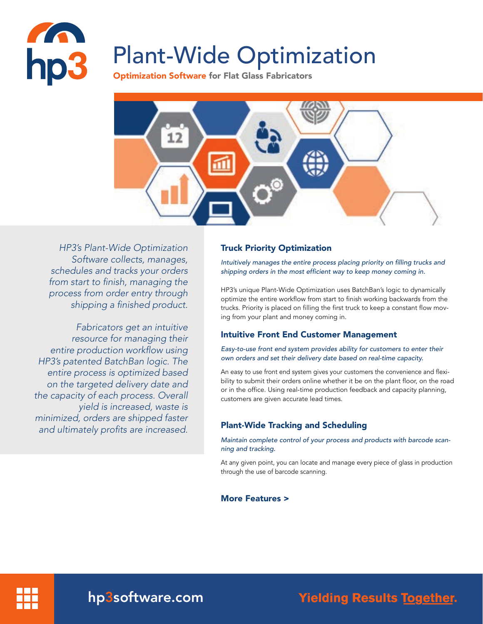

# Plant-Wide Optimization

Optimization Software for Flat Glass Fabricators



*HP3's Plant-Wide Optimization Software collects, manages, schedules and tracks your orders*  from start to finish, managing the *process from order entry through*  shipping a finished product.

*Fabricators get an intuitive resource for managing their*  entire production workflow using HP3's patented BatchBan logic. The *entire process is optimized based on the targeted delivery date and*  the capacity of each process. Overall *yield is increased, waste is minimized, orders are shipped faster*  and ultimately profits are increased.

## Truck Priority Optimization

Intuitively manages the entire process placing priority on filling trucks and shipping orders in the most efficient way to keep money coming in.

HP3's unique Plant-Wide Optimization uses BatchBan's logic to dynamically optimize the entire workflow from start to finish working backwards from the trucks. Priority is placed on filling the first truck to keep a constant flow moving from your plant and money coming in.

# Intuitive Front End Customer Management

Easy-to-use front end system provides ability for customers to enter their own orders and set their delivery date based on real-time capacity.

An easy to use front end system gives your customers the convenience and flexibility to submit their orders online whether it be on the plant floor, on the road or in the office. Using real-time production feedback and capacity planning, customers are given accurate lead times.

# Plant-Wide Tracking and Scheduling

Maintain complete control of your process and products with barcode scanning and tracking.

At any given point, you can locate and manage every piece of glass in production through the use of barcode scanning.

### More Features >



hp3software.com

**Yielding Results Together.**